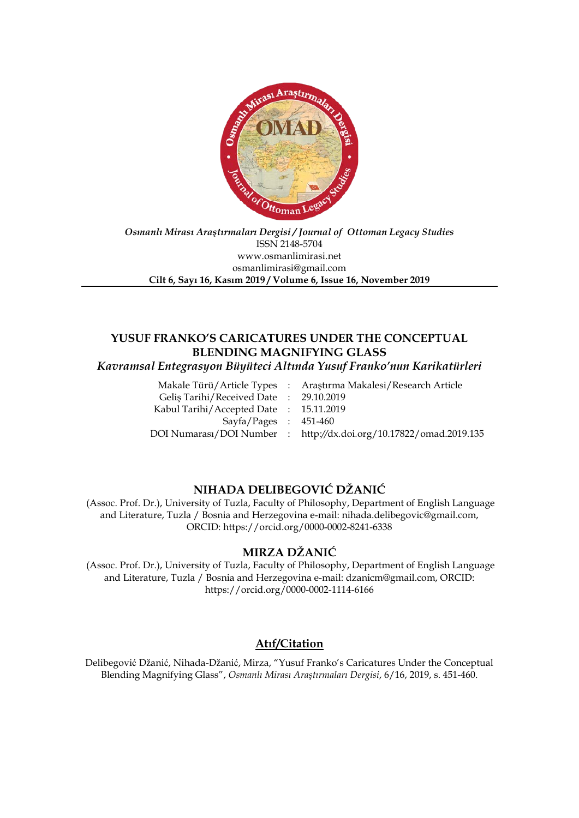

### *Osmanlı Mirası Araştırmaları Dergisi / Journal of Ottoman Legacy Studies* ISSN 2148-5704 www.osmanlimirasi.net osmanlimirasi@gmail.com **Cilt 6, Sayı 16, Kasım 2019 / Volume 6, Issue 16, November 2019**

# **YUSUF FRANKO'S CARICATURES UNDER THE CONCEPTUAL BLENDING MAGNIFYING GLASS**

*Kavramsal Entegrasyon Büyüteci Altında Yusuf Franko'nun Karikatürleri*

| Makale Türü/Article Types : Araştırma Makalesi/Research Article    |
|--------------------------------------------------------------------|
| Gelis Tarihi/Received Date: 29.10.2019                             |
| Kabul Tarihi/Accepted Date: 15.11.2019                             |
| $Sayfa/Pages$ : 451-460                                            |
| DOI Numarası/DOI Number : http://dx.doi.org/10.17822/omad.2019.135 |
|                                                                    |

## **NIHADA DELIBEGOVIĆ DŽANIĆ**

(Assoc. Prof. Dr.), University of Tuzla, Faculty of Philosophy, Department of English Language and Literature, Tuzla / Bosnia and Herzegovina e-mail: nihada.delibegovic@gmail.com, ORCID: https://orcid.org/0000-0002-8241-6338

## **MIRZA DŽANIĆ**

(Assoc. Prof. Dr.), University of Tuzla, Faculty of Philosophy, Department of English Language and Literature, Tuzla / Bosnia and Herzegovina e-mail: dzanicm@gmail.com, ORCID: https://orcid.org/0000-0002-1114-6166

## **Atıf/Citation**

Delibegović Džanić, Nihada-Džanić, Mirza, "Yusuf Franko's Caricatures Under the Conceptual Blending Magnifying Glass", *Osmanlı Mirası Araştırmaları Dergisi*, 6/16, 2019, s. 451-460.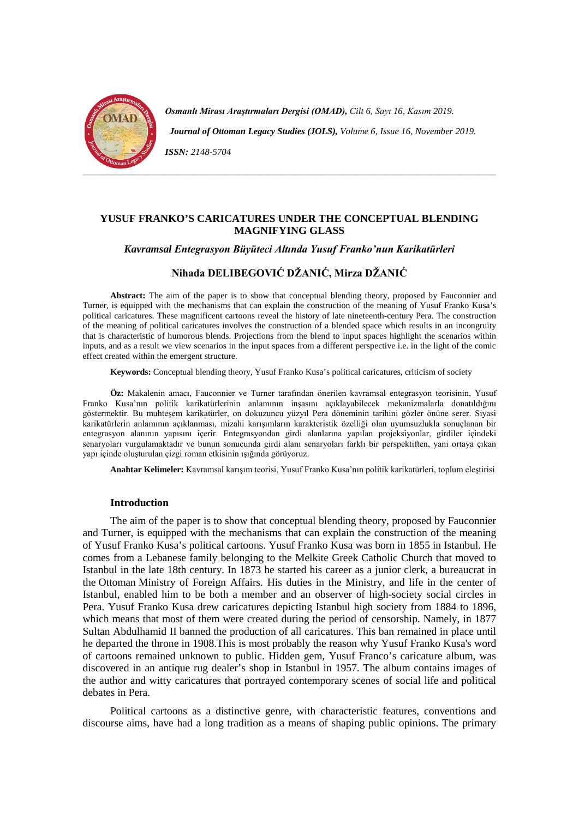

*Osmanlı Mirası Araştırmaları Dergisi (OMAD), Cilt 6, Sayı 16, Kasım 2019. Journal of Ottoman Legacy Studies (JOLS), Volume 6, Issue 16, November 2019. ISSN: 2148-5704*

## **YUSUF FRANKO'S CARICATURES UNDER THE CONCEPTUAL BLENDING MAGNIFYING GLASS**

#### *Kavramsal Entegrasyon Büyüteci Altında Yusuf Franko'nun Karikatürleri*

## **Nihada DELIBEGOVIĆ DŽANIĆ, Mirza DŽANIĆ**

**Abstract:** The aim of the paper is to show that conceptual blending theory, proposed by Fauconnier and Turner, is equipped with the mechanisms that can explain the construction of the meaning of Yusuf Franko Kusa's political caricatures. These magnificent cartoons reveal the history of late nineteenth-century Pera. The construction of the meaning of political caricatures involves the construction of a blended space which results in an incongruity that is characteristic of humorous blends. Projections from the blend to input spaces highlight the scenarios within inputs, and as a result we view scenarios in the input spaces from a different perspective i.e. in the light of the comic effect created within the emergent structure.

**Keywords:** Conceptual blending theory, Yusuf Franko Kusa's political caricatures, criticism of society

**Öz:** Makalenin amacı, Fauconnier ve Turner tarafından önerilen kavramsal entegrasyon teorisinin, Yusuf Franko Kusa'nın politik karikatürlerinin anlamının inşasını açıklayabilecek mekanizmalarla donatıldığını göstermektir. Bu muhteşem karikatürler, on dokuzuncu yüzyıl Pera döneminin tarihini gözler önüne serer. Siyasi karikatürlerin anlamının açıklanması, mizahi karışımların karakteristik özelliği olan uyumsuzlukla sonuçlanan bir entegrasyon alanının yapısını içerir. Entegrasyondan girdi alanlarına yapılan projeksiyonlar, girdiler içindeki senaryoları vurgulamaktadır ve bunun sonucunda girdi alanı senaryoları farklı bir perspektiften, yani ortaya çıkan yapı içinde oluşturulan çizgi roman etkisinin ışığında görüyoruz.

**Anahtar Kelimeler:** Kavramsal karışım teorisi, Yusuf Franko Kusa'nın politik karikatürleri, toplum eleştirisi

#### **Introduction**

The aim of the paper is to show that conceptual blending theory, proposed by Fauconnier and Turner, is equipped with the mechanisms that can explain the construction of the meaning of Yusuf Franko Kusa's political cartoons. Yusuf Franko Kusa was born in 1855 in Istanbul. He comes from a Lebanese family belonging to the Melkite Greek Catholic Church that moved to Istanbul in the late 18th century. In 1873 he started his career as a junior clerk, a bureaucrat in the Ottoman Ministry of Foreign Affairs. His duties in the Ministry, and life in the center of Istanbul, enabled him to be both a member and an observer of high-society social circles in Pera. Yusuf Franko Kusa drew caricatures depicting Istanbul high society from 1884 to 1896, which means that most of them were created during the period of censorship. Namely, in 1877 Sultan Abdulhamid II banned the production of all caricatures. This ban remained in place until he departed the throne in 1908.This is most probably the reason why Yusuf Franko Kusa's word of cartoons remained unknown to public. Hidden gem, Yusuf Franco's caricature album, was discovered in an antique rug dealer's shop in Istanbul in 1957. The album contains images of the author and witty caricatures that portrayed contemporary scenes of social life and political debates in Pera.

Political cartoons as a distinctive genre, with characteristic features, conventions and discourse aims, have had a long tradition as a means of shaping public opinions. The primary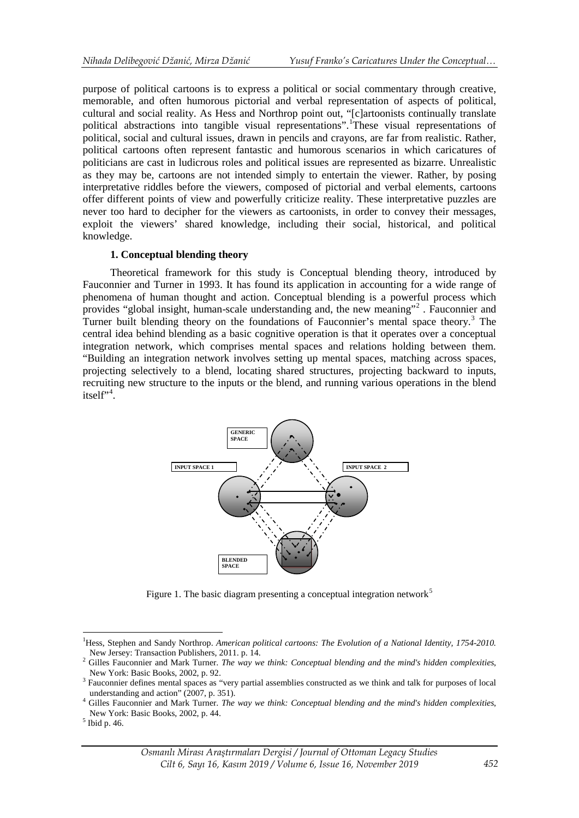purpose of political cartoons is to express a political or social commentary through creative, memorable, and often humorous pictorial and verbal representation of aspects of political, cultural and social reality. As Hess and Northrop point out, "[c]artoonists continually translate political abstractions into tangible visual representations". These visual representations of political, social and cultural issues, drawn in pencils and crayons, are far from realistic. Rather, political cartoons often represent fantastic and humorous scenarios in which caricatures of politicians are cast in ludicrous roles and political issues are represented as bizarre. Unrealistic as they may be, cartoons are not intended simply to entertain the viewer. Rather, by posing interpretative riddles before the viewers, composed of pictorial and verbal elements, cartoons offer different points of view and powerfully criticize reality. These interpretative puzzles are never too hard to decipher for the viewers as cartoonists, in order to convey their messages, exploit the viewers' shared knowledge, including their social, historical, and political knowledge.

### **1. Conceptual blending theory**

Theoretical framework for this study is Conceptual blending theory, introduced by Fauconnier and Turner in 1993. It has found its application in accounting for a wide range of phenomena of human thought and action. Conceptual blending is a powerful process which provides "global insight, human-scale understanding and, the new meaning"[2](#page-3-1) . Fauconnier and Turner built blending theory on the foundations of Fauconnier's mental space theory.<sup>[3](#page-3-2)</sup> The central idea behind blending as a basic cognitive operation is that it operates over a conceptual integration network, which comprises mental spaces and relations holding between them. "Building an integration network involves setting up mental spaces, matching across spaces, projecting selectively to a blend, locating shared structures, projecting backward to inputs, recruiting new structure to the inputs or the blend, and running various operations in the blend itself"<sup>[4](#page-3-3)</sup>.



Figure 1. The basic diagram presenting a conceptual integration network<sup>[5](#page-3-4)</sup>

<u>.</u>

<sup>&</sup>lt;sup>1</sup>Hess, Stephen and Sandy Northrop. American political cartoons: The Evolution of a National Identity, 1754-2010.

<span id="page-3-0"></span>New Jersey: Transaction Publishers, 2011. p. 14.<br><sup>2</sup> Gilles Fauconnier and Mark Turner. *The way we think: Conceptual blending and the mind's hidden complexities*,

<span id="page-3-2"></span><span id="page-3-1"></span>New York: Basic Books, 2002, p. 92.<br><sup>3</sup> Fauconnier defines mental spaces as "very partial assemblies constructed as we think and talk for purposes of local understanding and action" (2007, p. 351).

<span id="page-3-3"></span><sup>&</sup>lt;sup>4</sup> Gilles Fauconnier and Mark Turner. *The way we think: Conceptual blending and the mind's hidden complexities*, New York: Basic Books, 2002, p. 44. <sup>5</sup> Ibid p. 46.

<span id="page-3-4"></span>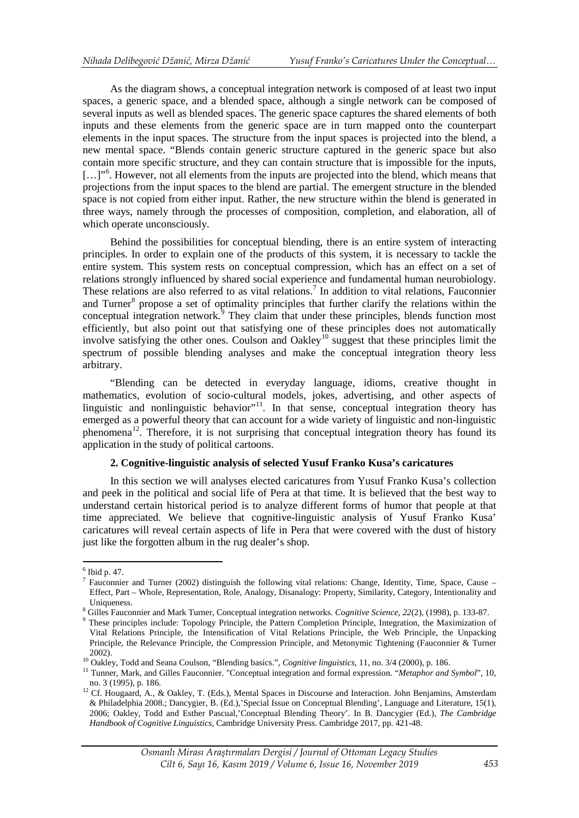As the diagram shows, a conceptual integration network is composed of at least two input spaces, a generic space, and a blended space, although a single network can be composed of several inputs as well as blended spaces. The generic space captures the shared elements of both inputs and these elements from the generic space are in turn mapped onto the counterpart elements in the input spaces. The structure from the input spaces is projected into the blend, a new mental space. "Blends contain generic structure captured in the generic space but also contain more specific structure, and they can contain structure that is impossible for the inputs, [...]"<sup>[6](#page-4-0)</sup>. However, not all elements from the inputs are projected into the blend, which means that projections from the input spaces to the blend are partial. The emergent structure in the blended space is not copied from either input. Rather, the new structure within the blend is generated in three ways, namely through the processes of composition, completion, and elaboration, all of which operate unconsciously.

Behind the possibilities for conceptual blending, there is an entire system of interacting principles. In order to explain one of the products of this system, it is necessary to tackle the entire system. This system rests on conceptual compression, which has an effect on a set of relations strongly influenced by shared social experience and fundamental human neurobiology. These relations are also referred to as vital relations.<sup>[7](#page-4-1)</sup> In addition to vital relations, Fauconnier and Turner<sup>[8](#page-4-2)</sup> propose a set of optimality principles that further clarify the relations within the conceptual integration network. $\frac{3}{9}$  $\frac{3}{9}$  $\frac{3}{9}$  They claim that under these principles, blends function most efficiently, but also point out that satisfying one of these principles does not automatically involve satisfying the other ones. Coulson and Oakley<sup>[10](#page-4-4)</sup> suggest that these principles limit the spectrum of possible blending analyses and make the conceptual integration theory less arbitrary.

"Blending can be detected in everyday language, idioms, creative thought in mathematics, evolution of socio-cultural models, jokes, advertising, and other aspects of linguistic and nonlinguistic behavior"<sup>[11](#page-4-5)</sup>. In that sense, conceptual integration theory has emerged as a powerful theory that can account for a wide variety of linguistic and non-linguistic phenomena<sup>[12](#page-4-6)</sup>. Therefore, it is not surprising that conceptual integration theory has found its application in the study of political cartoons.

### **2. Cognitive-linguistic analysis of selected Yusuf Franko Kusa's caricatures**

In this section we will analyses elected caricatures from Yusuf Franko Kusa's collection and peek in the political and social life of Pera at that time. It is believed that the best way to understand certain historical period is to analyze different forms of humor that people at that time appreciated. We believe that cognitive-linguistic analysis of Yusuf Franko Kusa' caricatures will reveal certain aspects of life in Pera that were covered with the dust of history just like the forgotten album in the rug dealer's shop.

<span id="page-4-0"></span> $^6$  Ibid p. 47.

<span id="page-4-1"></span> $\frac{7}{1}$  Fauconnier and Turner (2002) distinguish the following vital relations: Change, Identity, Time, Space, Cause – Effect, Part – Whole, Representation, Role, Analogy, Disanalogy: Property, Similarity, Category, Intentionality and Uniqueness.<br><sup>8</sup> Gilles Fauconnier and Mark Turner, Conceptual integration networks. *Cognitive Science, 22(2)*, (1998), p. 133-87.<br><sup>9</sup> These principles include: Topology Principle, the Pattern Completion Principle, Integra

<span id="page-4-2"></span>

<span id="page-4-3"></span>Vital Relations Principle, the Intensification of Vital Relations Principle, the Web Principle, the Unpacking Principle, the Relevance Principle, the Compression Principle, and Metonymic Tightening (Fauconnier & Turner

<span id="page-4-4"></span>

<sup>2002).&</sup>lt;br><sup>10</sup> Oakley, Todd and Seana Coulson, "Blending basics.", *Cognitive linguistics*, 11, no. 3/4 (2000), p. 186.<br><sup>11</sup> Tunner, Mark, and Gilles Fauconnier. "Conceptual integration and formal expression. "*Metaphor and* 

<span id="page-4-6"></span><span id="page-4-5"></span>no. 3 (1995), p. 186.<br><sup>12</sup> Cf. Hougaard, A., & Oakley, T. (Eds.), Mental Spaces in Discourse and Interaction. John Benjamins, Amsterdam & Philadelphia 2008.; Dancygier, B. (Ed.),'Special Issue on Conceptual Blending', Language and Literature, 15(1), 2006; Oakley, Todd and Esther Pascual,'Conceptual Blending Theory'. In B. Dancygier (Ed.), *[The Cambridge](http://www.cambridge.org/catalogue/catalogue.asp?ISBN=9781107118447)  [Handbook of Cognitive Linguistics,](http://www.cambridge.org/catalogue/catalogue.asp?ISBN=9781107118447)* Cambridge University Press. Cambridge 2017, pp. 421-48.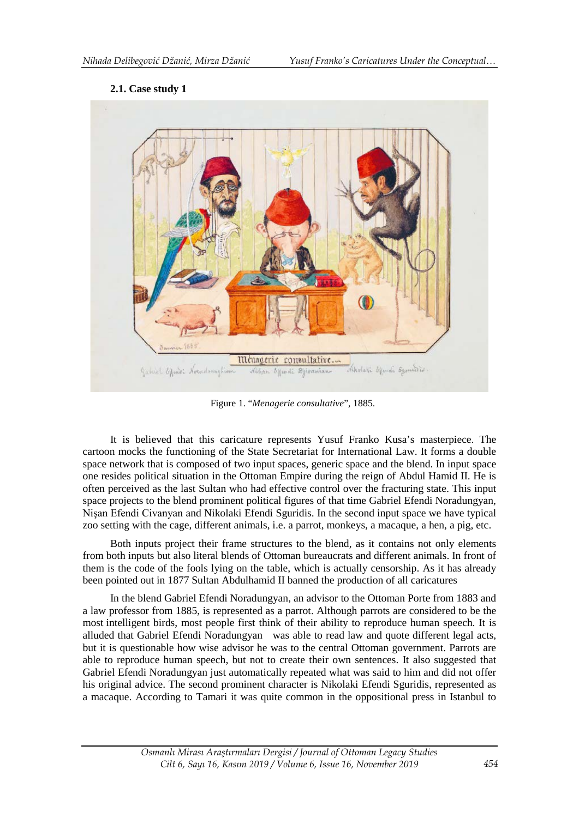## **2.1. Case study 1**



Figure 1. "*Menagerie consultative*", 1885.

It is believed that this caricature represents Yusuf Franko Kusa's masterpiece. The cartoon mocks the functioning of the State Secretariat for International Law. It forms a double space network that is composed of two input spaces, generic space and the blend. In input space one resides political situation in the Ottoman Empire during the reign of Abdul Hamid II. He is often perceived as the last Sultan who had effective control over the fracturing state. This input space projects to the blend prominent political figures of that time Gabriel Efendi Noradungyan, Nişan Efendi Civanyan and Nikolaki Efendi Sguridis. In the second input space we have typical zoo setting with the cage, different animals, i.e. a parrot, monkeys, a macaque, a hen, a pig, etc.

Both inputs project their frame structures to the blend, as it contains not only elements from both inputs but also literal blends of Ottoman bureaucrats and different animals. In front of them is the code of the fools lying on the table, which is actually censorship. As it has already been pointed out in 1877 Sultan Abdulhamid II banned the production of all caricatures

In the blend Gabriel Efendi Noradungyan, an advisor to the Ottoman Porte from 1883 and a law professor from 1885, is represented as a parrot. Although parrots are considered to be the most intelligent birds, most people first think of their ability to reproduce human speech. It is alluded that Gabriel Efendi Noradungyan was able to read law and quote different legal acts, but it is questionable how wise advisor he was to the central Ottoman government. Parrots are able to reproduce human speech, but not to create their own sentences. It also suggested that Gabriel Efendi Noradungyan just automatically repeated what was said to him and did not offer his original advice. The second prominent character is Nikolaki Efendi Sguridis, represented as a macaque. According to Tamari it was quite common in the oppositional press in Istanbul to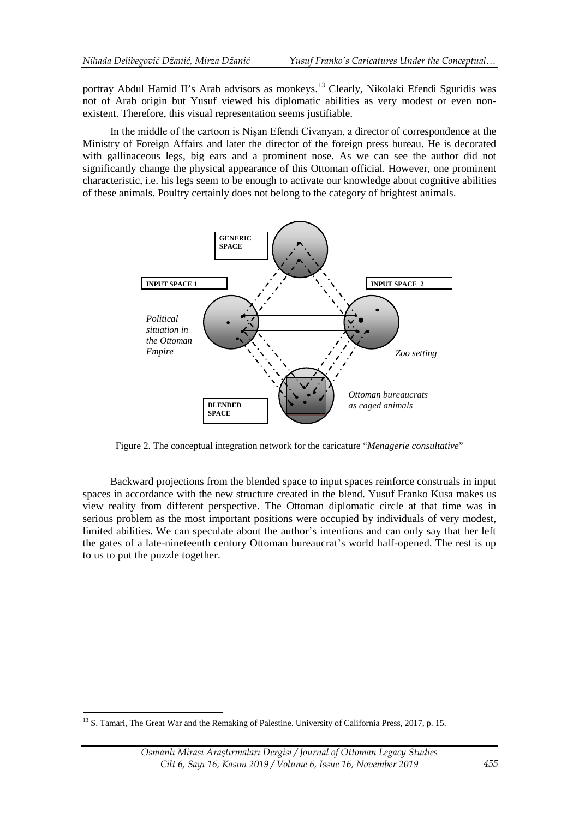portray Abdul Hamid II's Arab advisors as monkeys.<sup>[13](#page-6-0)</sup> Clearly, Nikolaki Efendi Sguridis was not of Arab origin but Yusuf viewed his diplomatic abilities as very modest or even nonexistent. Therefore, this visual representation seems justifiable.

In the middle of the cartoon is Nişan Efendi Civanyan, a director of correspondence at the Ministry of Foreign Affairs and later the director of the foreign press bureau. He is decorated with gallinaceous legs, big ears and a prominent nose. As we can see the author did not significantly change the physical appearance of this Ottoman official. However, one prominent characteristic, i.e. his legs seem to be enough to activate our knowledge about cognitive abilities of these animals. Poultry certainly does not belong to the category of brightest animals.



Figure 2. The conceptual integration network for the caricature "*Menagerie consultative*"

Backward projections from the blended space to input spaces reinforce construals in input spaces in accordance with the new structure created in the blend. Yusuf Franko Kusa makes us view reality from different perspective. The Ottoman diplomatic circle at that time was in serious problem as the most important positions were occupied by individuals of very modest, limited abilities. We can speculate about the author's intentions and can only say that her left the gates of a late-nineteenth century Ottoman bureaucrat's world half-opened. The rest is up to us to put the puzzle together.

-

<span id="page-6-0"></span><sup>&</sup>lt;sup>13</sup> S. Tamari, The Great War and the Remaking of Palestine. University of California Press, 2017, p. 15.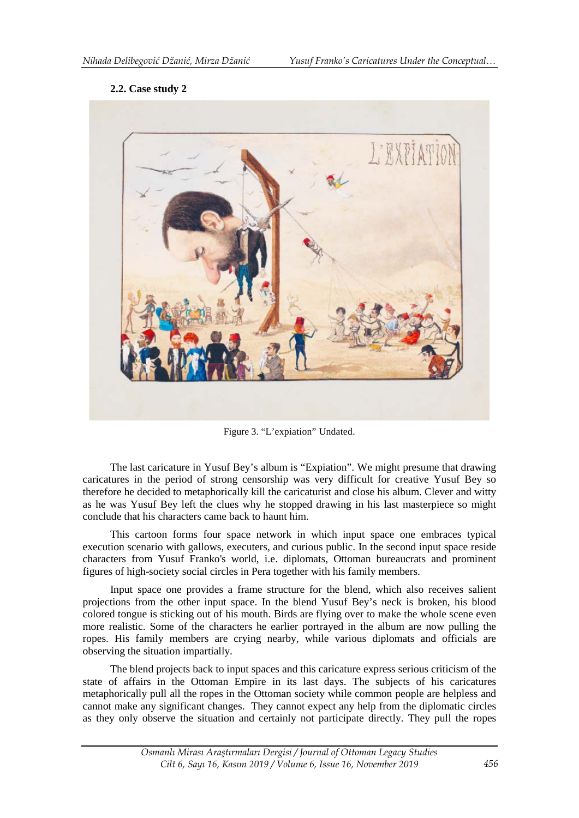## **2.2. Case study 2**



Figure 3. "L'expiation" Undated.

The last caricature in Yusuf Bey's album is "Expiation". We might presume that drawing caricatures in the period of strong censorship was very difficult for creative Yusuf Bey so therefore he decided to metaphorically kill the caricaturist and close his album. Clever and witty as he was Yusuf Bey left the clues why he stopped drawing in his last masterpiece so might conclude that his characters came back to haunt him.

This cartoon forms four space network in which input space one embraces typical execution scenario with gallows, executers, and curious public. In the second input space reside characters from Yusuf Franko's world, i.e. diplomats, Ottoman bureaucrats and prominent figures of high-society social circles in Pera together with his family members.

Input space one provides a frame structure for the blend, which also receives salient projections from the other input space. In the blend Yusuf Bey's neck is broken, his blood colored tongue is sticking out of his mouth. Birds are flying over to make the whole scene even more realistic. Some of the characters he earlier portrayed in the album are now pulling the ropes. His family members are crying nearby, while various diplomats and officials are observing the situation impartially.

The blend projects back to input spaces and this caricature express serious criticism of the state of affairs in the Ottoman Empire in its last days. The subjects of his caricatures metaphorically pull all the ropes in the Ottoman society while common people are helpless and cannot make any significant changes. They cannot expect any help from the diplomatic circles as they only observe the situation and certainly not participate directly. They pull the ropes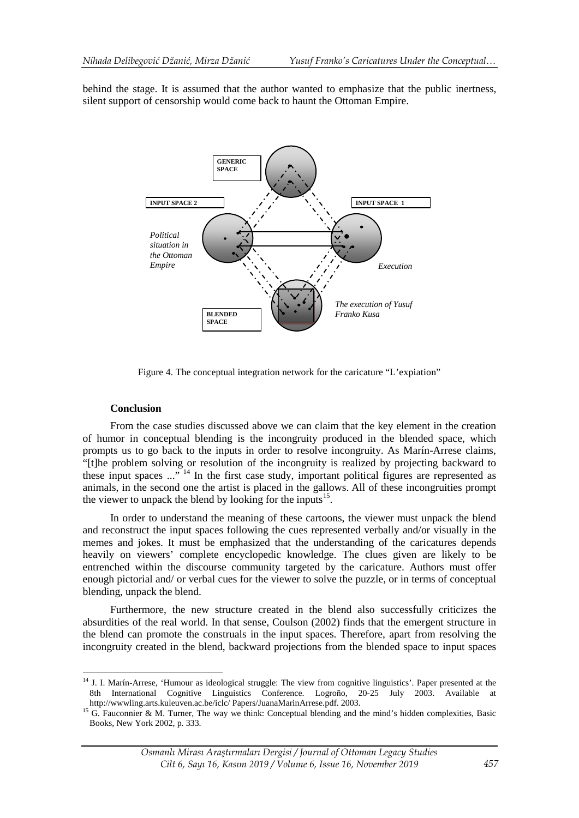behind the stage. It is assumed that the author wanted to emphasize that the public inertness, silent support of censorship would come back to haunt the Ottoman Empire.



Figure 4. The conceptual integration network for the caricature "L'expiation"

#### **Conclusion**

<u>.</u>

From the case studies discussed above we can claim that the key element in the creation of humor in conceptual blending is the incongruity produced in the blended space, which prompts us to go back to the inputs in order to resolve incongruity. As Marín-Arrese claims, "[t]he problem solving or resolution of the incongruity is realized by projecting backward to these input spaces  $\ldots$ <sup>74</sup>. In the first case study, important political figures are represented as animals, in the second one the artist is placed in the gallows. All of these incongruities prompt the viewer to unpack the blend by looking for the inputs<sup>[15](#page-8-1)</sup>.

In order to understand the meaning of these cartoons, the viewer must unpack the blend and reconstruct the input spaces following the cues represented verbally and/or visually in the memes and jokes. It must be emphasized that the understanding of the caricatures depends heavily on viewers' complete encyclopedic knowledge. The clues given are likely to be entrenched within the discourse community targeted by the caricature. Authors must offer enough pictorial and/ or verbal cues for the viewer to solve the puzzle, or in terms of conceptual blending, unpack the blend.

Furthermore, the new structure created in the blend also successfully criticizes the absurdities of the real world. In that sense, Coulson (2002) finds that the emergent structure in the blend can promote the construals in the input spaces. Therefore, apart from resolving the incongruity created in the blend, backward projections from the blended space to input spaces

<span id="page-8-0"></span><sup>&</sup>lt;sup>14</sup> J. I. Marín-Arrese, 'Humour as ideological struggle: The view from cognitive linguistics'. Paper presented at the 8th International Cognitive Linguistics Conference. Logroño, 20-25 July 2003. Available at http://www.ling.arts.kuleuven.ac.be/iclc/ Papers/JuanaMarinArrese.pdf. 2003.

<span id="page-8-1"></span><sup>&</sup>lt;sup>15</sup> G. Fauconnier & M. Turner, The way we think: Conceptual blending and the mind's hidden complexities, Basic Books, New York 2002, p. 333.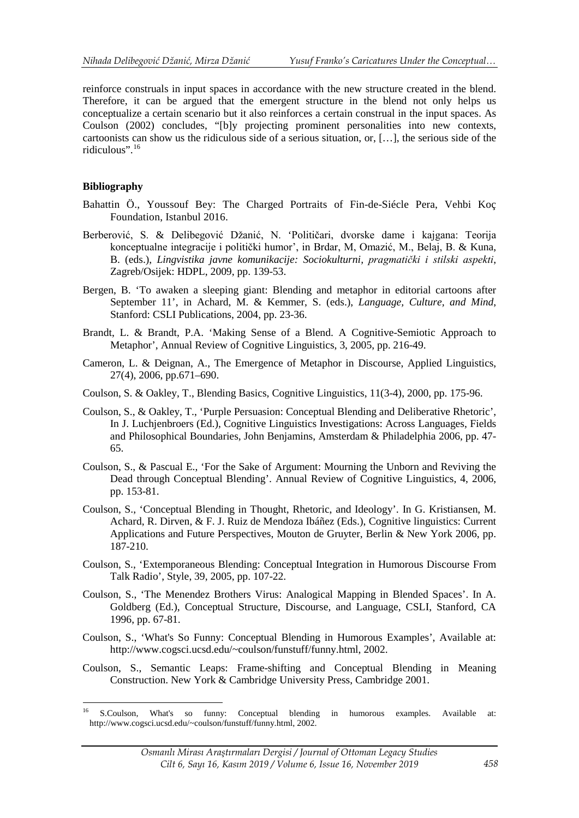reinforce construals in input spaces in accordance with the new structure created in the blend. Therefore, it can be argued that the emergent structure in the blend not only helps us conceptualize a certain scenario but it also reinforces a certain construal in the input spaces. As Coulson (2002) concludes, "[b]y projecting prominent personalities into new contexts, cartoonists can show us the ridiculous side of a serious situation, or, […], the serious side of the ridiculous".[16](#page-9-0)

## **Bibliography**

<u>.</u>

- Bahattin Ö., Youssouf Bey: The Charged Portraits of Fin-de-Siécle Pera, Vehbi Koç Foundation, Istanbul 2016.
- Berberović, S. & Delibegović Džanić, N. 'Političari, dvorske dame i kajgana: Teorija konceptualne integracije i politički humor', in Brdar, M, Omazić, M., Belaj, B. & Kuna, B. (eds.), *Lingvistika javne komunikacije: Sociokulturni, pragmatički i stilski aspekti*, Zagreb/Osijek: HDPL, 2009, pp. 139-53.
- Bergen, B. 'To awaken a sleeping giant: Blending and metaphor in editorial cartoons after September 11', in Achard, M. & Kemmer, S. (eds.), *Language, Culture, and Mind*, Stanford: CSLI Publications, 2004, pp. 23-36.
- Brandt, L. & Brandt, P.A. 'Making Sense of a Blend. A Cognitive-Semiotic Approach to Metaphor', Annual Review of Cognitive Linguistics, 3, 2005, pp. 216-49.
- Cameron, L. & Deignan, A., The Emergence of Metaphor in Discourse, Applied Linguistics, 27(4), 2006, pp.671–690.
- Coulson, S. & Oakley, T., Blending Basics, Cognitive Linguistics, 11(3-4), 2000, pp. 175-96.
- Coulson, S., & Oakley, T., 'Purple Persuasion: Conceptual Blending and Deliberative Rhetoric', In J. Luchjenbroers (Ed.), Cognitive Linguistics Investigations: Across Languages, Fields and Philosophical Boundaries, John Benjamins, Amsterdam & Philadelphia 2006, pp. 47- 65.
- Coulson, S., & Pascual E., 'For the Sake of Argument: Mourning the Unborn and Reviving the Dead through Conceptual Blending'. Annual Review of Cognitive Linguistics, 4, 2006, pp. 153-81.
- Coulson, S., 'Conceptual Blending in Thought, Rhetoric, and Ideology'. In G. Kristiansen, M. Achard, R. Dirven, & F. J. Ruiz de Mendoza Ibáñez (Eds.), Cognitive linguistics: Current Applications and Future Perspectives, Mouton de Gruyter, Berlin & New York 2006, pp. 187-210.
- Coulson, S., 'Extemporaneous Blending: Conceptual Integration in Humorous Discourse From Talk Radio', Style, 39, 2005, pp. 107-22.
- Coulson, S., 'The Menendez Brothers Virus: Analogical Mapping in Blended Spaces'. In A. Goldberg (Ed.), Conceptual Structure, Discourse, and Language, CSLI, Stanford, CA 1996, pp. 67-81.
- Coulson, S., 'What's So Funny: Conceptual Blending in Humorous Examples', Available at: http://www.cogsci.ucsd.edu/~coulson/funstuff/funny.html, 2002.
- Coulson, S., Semantic Leaps: Frame-shifting and Conceptual Blending in Meaning Construction. New York & Cambridge University Press, Cambridge 2001.

<span id="page-9-0"></span><sup>&</sup>lt;sup>16</sup> S.Coulson, What's so funny: Conceptual blending in humorous examples. Available at: http://www.cogsci.ucsd.edu/~coulson/funstuff/funny.html, 2002.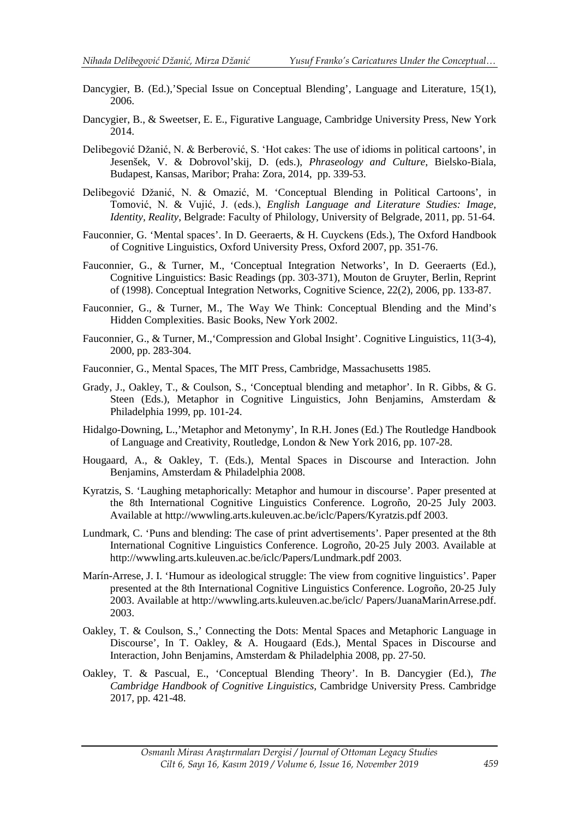- Dancygier, B. (Ed.),'Special Issue on Conceptual Blending', Language and Literature, 15(1), 2006.
- Dancygier, B., & Sweetser, E. E., Figurative Language, Cambridge University Press, New York 2014.
- Delibegović Džanić, N. & Berberović, S. 'Hot cakes: The use of idioms in political cartoons', in Jesenšek, V. & Dobrovol'skij, D. (eds.), *Phraseology and Culture*, Bielsko-Biala, Budapest, Kansas, Maribor; Praha: Zora, 2014, pp. 339-53.
- Delibegović Džanić, N. & Omazić, M. 'Conceptual Blending in Political Cartoons', in Tomović, N. & Vujić, J. (eds.), *English Language and Literature Studies: Image, Identity, Reality*, Belgrade: Faculty of Philology, University of Belgrade, 2011, pp. 51-64.
- Fauconnier, G. 'Mental spaces'. In D. Geeraerts, & H. Cuyckens (Eds.), The Oxford Handbook of Cognitive Linguistics, Oxford University Press, Oxford 2007, pp. 351-76.
- Fauconnier, G., & Turner, M., 'Conceptual Integration Networks', In D. Geeraerts (Ed.), Cognitive Linguistics: Basic Readings (pp. 303-371), Mouton de Gruyter, Berlin, Reprint of (1998). Conceptual Integration Networks, Cognitive Science, 22(2), 2006, pp. 133-87.
- Fauconnier, G., & Turner, M., The Way We Think: Conceptual Blending and the Mind's Hidden Complexities. Basic Books, New York 2002.
- Fauconnier, G., & Turner, M.,'Compression and Global Insight'. Cognitive Linguistics, 11(3-4), 2000, pp. 283-304.
- Fauconnier, G., Mental Spaces, The MIT Press, Cambridge, Massachusetts 1985.
- Grady, J., Oakley, T., & Coulson, S., 'Conceptual blending and metaphor'. In R. Gibbs, & G. Steen (Eds.), Metaphor in Cognitive Linguistics, John Benjamins, Amsterdam & Philadelphia 1999, pp. 101-24.
- Hidalgo-Downing, L.,'Metaphor and Metonymy', In R.H. Jones (Ed.) The Routledge Handbook of Language and Creativity, Routledge, London & New York 2016, pp. 107-28.
- Hougaard, A., & Oakley, T. (Eds.), Mental Spaces in Discourse and Interaction. John Benjamins, Amsterdam & Philadelphia 2008.
- Kyratzis, S. 'Laughing metaphorically: Metaphor and humour in discourse'. Paper presented at the 8th International Cognitive Linguistics Conference. Logroño, 20-25 July 2003. Available at http://wwwling.arts.kuleuven.ac.be/iclc/Papers/Kyratzis.pdf 2003.
- Lundmark, C. 'Puns and blending: The case of print advertisements'. Paper presented at the 8th International Cognitive Linguistics Conference. Logroño, 20-25 July 2003. Available at http://wwwling.arts.kuleuven.ac.be/iclc/Papers/Lundmark.pdf 2003.
- Marín-Arrese, J. I. 'Humour as ideological struggle: The view from cognitive linguistics'. Paper presented at the 8th International Cognitive Linguistics Conference. Logroño, 20-25 July 2003. Available at http://wwwling.arts.kuleuven.ac.be/iclc/ Papers/JuanaMarinArrese.pdf. 2003.
- Oakley, T. & Coulson, S.,' Connecting the Dots: Mental Spaces and Metaphoric Language in Discourse', In T. Oakley, & A. Hougaard (Eds.), Mental Spaces in Discourse and Interaction*,* John Benjamins, Amsterdam & Philadelphia 2008, pp. 27-50.
- Oakley, T. & Pascual, E., 'Conceptual Blending Theory'. In B. Dancygier (Ed.), *[The](http://www.cambridge.org/catalogue/catalogue.asp?ISBN=9781107118447)  [Cambridge Handbook of Cognitive Linguistics,](http://www.cambridge.org/catalogue/catalogue.asp?ISBN=9781107118447)* Cambridge University Press. Cambridge 2017, pp. 421-48.